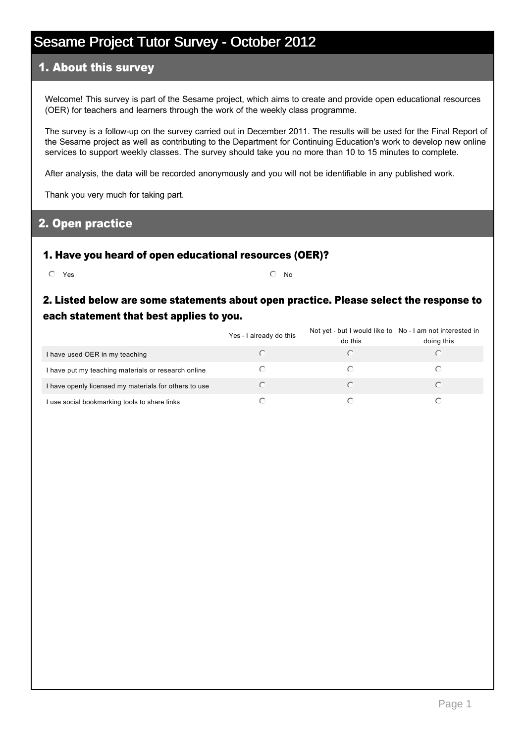### 1. About this survey

Welcome! This survey is part of the Sesame project, which aims to create and provide open educational resources (OER) for teachers and learners through the work of the weekly class programme.

The survey is a follow-up on the survey carried out in December 2011. The results will be used for the Final Report of the Sesame project as well as contributing to the Department for Continuing Education's work to develop new online services to support weekly classes. The survey should take you no more than 10 to 15 minutes to complete.

After analysis, the data will be recorded anonymously and you will not be identifiable in any published work.

Thank you very much for taking part.

#### 2. Open practice

#### 1. Have you heard of open educational resources (OER)?

 $\overline{\text{O}}$  Yes  $\overline{\text{O}}$  No

### 2. Listed below are some statements about open practice. Please select the response to each statement that best applies to you.

|                                                       | Yes - I already do this | Not yet - but I would like to No - I am not interested in<br>do this | doing this |
|-------------------------------------------------------|-------------------------|----------------------------------------------------------------------|------------|
| I have used OER in my teaching                        |                         |                                                                      |            |
| I have put my teaching materials or research online   |                         |                                                                      |            |
| I have openly licensed my materials for others to use |                         |                                                                      |            |
| I use social bookmarking tools to share links         |                         |                                                                      |            |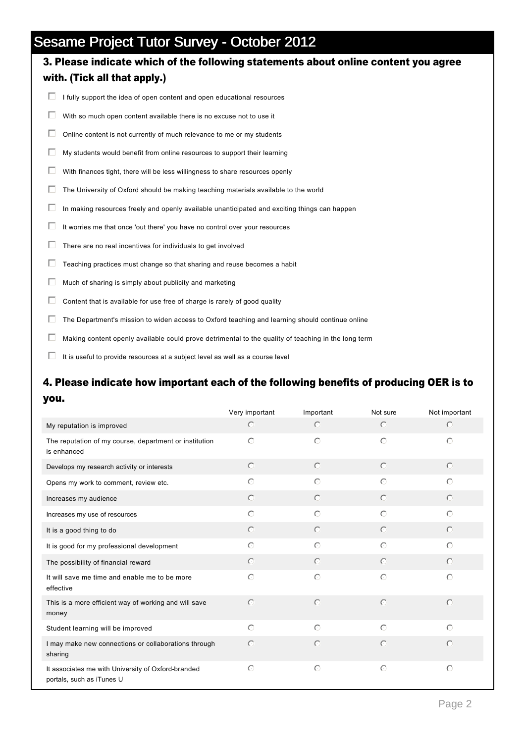# 3. Please indicate which of the following statements about online content you agree with. (Tick all that apply.)  $\Box$  I fully support the idea of open content and open educational resources

- $\Box$  With so much open content available there is no excuse not to use it
- $\Box$  Online content is not currently of much relevance to me or my students
- $\Box$  My students would benefit from online resources to support their learning
- $\Box$  With finances tight, there will be less willingness to share resources openly
- $\Box$  The University of Oxford should be making teaching materials available to the world
- $\Box$  In making resources freely and openly available unanticipated and exciting things can happen
- $\Box$  It worries me that once 'out there' you have no control over your resources
- $\Box$  There are no real incentives for individuals to get involved
- $\Box$  Teaching practices must change so that sharing and reuse becomes a habit
- $\Box$  Much of sharing is simply about publicity and marketing
- $\Box$  Content that is available for use free of charge is rarely of good quality
- $\Box$  The Department's mission to widen access to Oxford teaching and learning should continue online
- $\Box$  Making content openly available could prove detrimental to the quality of teaching in the long term
- $\Box$  It is useful to provide resources at a subject level as well as a course level

### 4. Please indicate how important each of the following benefits of producing OER is to you.

|                                                                                 | Very important | Important  | Not sure   | Not important |
|---------------------------------------------------------------------------------|----------------|------------|------------|---------------|
| My reputation is improved                                                       | $\bigcirc$     | $\odot$    | $\odot$    | $\bigcirc$    |
| The reputation of my course, department or institution<br>is enhanced           | $\bigcirc$     | $\bigcirc$ | $\odot$    | $\bigcirc$    |
| Develops my research activity or interests                                      | $\odot$        | $\circ$    | $\odot$    | $\odot$       |
| Opens my work to comment, review etc.                                           | $\circ$        | $\bigcirc$ | $\circ$    | $\odot$       |
| Increases my audience                                                           | $\bigcirc$     | $\bigcirc$ | $\odot$    | $\odot$       |
| Increases my use of resources                                                   | $\bigcirc$     | $\bigcirc$ | $\odot$    | $\bigcap$     |
| It is a good thing to do                                                        | $\odot$        | $\odot$    | $\odot$    | $\odot$       |
| It is good for my professional development                                      | $\bigcirc$     | $\bigcap$  | $\circ$    | $\bigcirc$    |
| The possibility of financial reward                                             | $\bigcirc$     | $\bigcirc$ | $\odot$    | $\odot$       |
| It will save me time and enable me to be more<br>effective                      | $\bigcirc$     | $\circ$    | $\circ$    | $\bigcirc$    |
| This is a more efficient way of working and will save<br>money                  | $\circ$        | $\circ$    | $\circ$    | $\bigcirc$    |
| Student learning will be improved                                               | $\bigcirc$     | $\bigcirc$ | $\odot$    | $\bigcap$     |
| I may make new connections or collaborations through<br>sharing                 | $\bigcirc$     | $\bigcirc$ | $\bigcirc$ | $\bigcirc$    |
| It associates me with University of Oxford-branded<br>portals, such as iTunes U | $\circ$        | $\circ$    | $\circ$    | $\circ$       |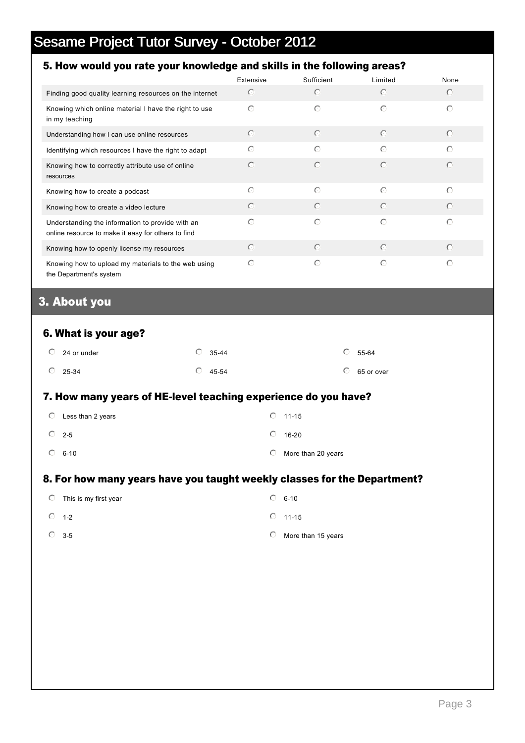## 5. How would you rate your knowledge and skills in the following areas?

|                                                                                                        | Extensive  | Sufficient | Limited    | None       |
|--------------------------------------------------------------------------------------------------------|------------|------------|------------|------------|
| Finding good quality learning resources on the internet                                                | $\bigcirc$ | $\bigcirc$ | $\bigcap$  | $\odot$    |
| Knowing which online material I have the right to use<br>in my teaching                                | $\bigcap$  | $\bigcirc$ | ∩          | $\odot$    |
| Understanding how I can use online resources                                                           | $\odot$    | $\circ$    | $\odot$    | $\odot$    |
| Identifying which resources I have the right to adapt                                                  | $\bigcirc$ | $\bigcirc$ | $\bigcirc$ | $\odot$    |
| Knowing how to correctly attribute use of online<br>resources                                          | ∩          | $\bigcirc$ | $\odot$    | $\bigcirc$ |
| Knowing how to create a podcast                                                                        | $\bigcirc$ | $\bigcirc$ | $\bigcap$  | $\bigcirc$ |
| Knowing how to create a video lecture                                                                  | $\bigcap$  | $\odot$    | $\odot$    | $\odot$    |
| Understanding the information to provide with an<br>online resource to make it easy for others to find | ∩          | $\bigcirc$ | $\bigcirc$ | $\bigcirc$ |
| Knowing how to openly license my resources                                                             | $\bigcirc$ | $\circ$    | $\bigcap$  | $\odot$    |
| Knowing how to upload my materials to the web using<br>the Department's system                         | $\bigcap$  | $\bigcirc$ | $\bigcap$  | $\bigcap$  |

## 3. About you

#### 6. What is your age?

| $\circ$ 24 or under | $\degree$ 35-44 | $\circ$ 55-64      |
|---------------------|-----------------|--------------------|
| $\circ$ 25-34       | $\circ$ 45-54   | $\circ$ 65 or over |

#### 7. How many years of HE-level teaching experience do you have?

| $\circ$ | Less than 2 years |            | $\circ$ 11-15      |
|---------|-------------------|------------|--------------------|
|         | $\circ$ 2-5       | $\bigcirc$ | 16-20              |
|         | $\circ$ 6-10      | $\circ$    | More than 20 years |

#### 8. For how many years have you taught weekly classes for the Department?

| $\circ$ This is my first year |   | $\circ$ 6-10       |
|-------------------------------|---|--------------------|
| $\circ$ 1-2                   |   | $\circ$ 11-15      |
| $\circ$ 3-5                   | O | More than 15 years |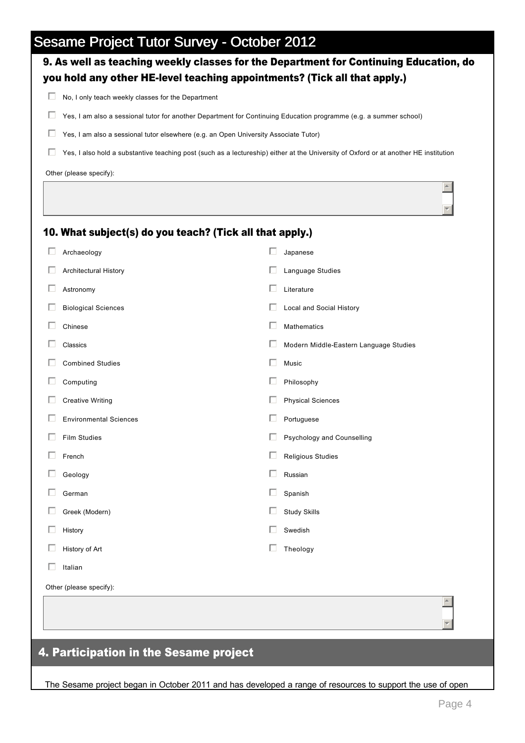| Ш | No, I only teach weekly classes for the Department                                   |                                                                                                                                      |
|---|--------------------------------------------------------------------------------------|--------------------------------------------------------------------------------------------------------------------------------------|
| ш |                                                                                      | Yes, I am also a sessional tutor for another Department for Continuing Education programme (e.g. a summer school)                    |
| П | Yes, I am also a sessional tutor elsewhere (e.g. an Open University Associate Tutor) |                                                                                                                                      |
| ш |                                                                                      | Yes, I also hold a substantive teaching post (such as a lectureship) either at the University of Oxford or at another HE institution |
|   | Other (please specify):                                                              |                                                                                                                                      |
|   |                                                                                      |                                                                                                                                      |
|   | 10. What subject(s) do you teach? (Tick all that apply.)                             |                                                                                                                                      |
|   | Archaeology                                                                          | Japanese                                                                                                                             |
|   | Architectural History                                                                | Language Studies                                                                                                                     |
| Ш | Astronomy                                                                            | Literature                                                                                                                           |
|   | <b>Biological Sciences</b>                                                           | Local and Social History                                                                                                             |
|   | Chinese                                                                              | <b>Mathematics</b>                                                                                                                   |
|   | Classics                                                                             | Modern Middle-Eastern Language Studies                                                                                               |
|   | <b>Combined Studies</b>                                                              | Music                                                                                                                                |
|   | Computing                                                                            | Philosophy                                                                                                                           |
|   | <b>Creative Writing</b>                                                              | <b>Physical Sciences</b>                                                                                                             |
|   | <b>Environmental Sciences</b>                                                        | Portuguese                                                                                                                           |
|   | <b>Film Studies</b>                                                                  | Psychology and Counselling                                                                                                           |
|   | French                                                                               | Religious Studies                                                                                                                    |
|   | Geology                                                                              | Russian                                                                                                                              |
|   | German                                                                               | Spanish                                                                                                                              |
|   | Greek (Modern)                                                                       | <b>Study Skills</b>                                                                                                                  |
| Ш | History                                                                              | Swedish                                                                                                                              |
| Ш | History of Art                                                                       | Theology                                                                                                                             |
|   | Italian                                                                              |                                                                                                                                      |
|   | Other (please specify):                                                              |                                                                                                                                      |
|   |                                                                                      |                                                                                                                                      |

The Sesame project began in October 2011 and has developed a range of resources to support the use of open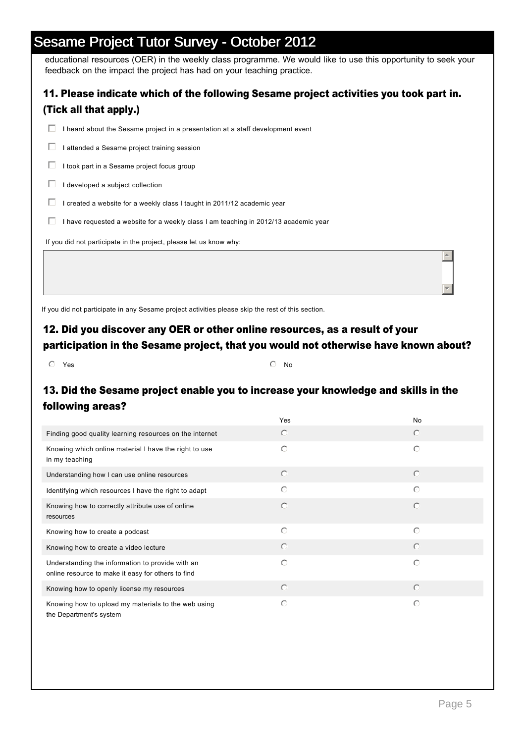educational resources (OER) in the weekly class programme. We would like to use this opportunity to seek your feedback on the impact the project has had on your teaching practice.

| 11. Please indicate which of the following Sesame project activities you took part in.<br>(Tick all that apply.) |
|------------------------------------------------------------------------------------------------------------------|
| heard about the Sesame project in a presentation at a staff development event<br>L.                              |
| attended a Sesame project training session<br>L.                                                                 |
| took part in a Sesame project focus group                                                                        |
| developed a subject collection                                                                                   |
| created a website for a weekly class I taught in 2011/12 academic year                                           |
| have requested a website for a weekly class I am teaching in 2012/13 academic year<br>ш                          |
| If you did not participate in the project, please let us know why:                                               |
|                                                                                                                  |
|                                                                                                                  |

If you did not participate in any Sesame project activities please skip the rest of this section.

#### 12. Did you discover any OER or other online resources, as a result of your participation in the Sesame project, that you would not otherwise have known about?

 $\overline{\textcircled{\small\textsf{N}}\textcircled{\small\textsf{N}}\textcircled{\small\textsf{N}}\textcircled{\small\textsf{N}}\textcircled{\small\textsf{N}}\textcircled{\small\textsf{N}}\textcircled{\small\textsf{N}}\textcircled{\small\textsf{N}}\textcircled{\small\textsf{N}}\textcircled{\small\textsf{N}}\textcircled{\small\textsf{N}}\textcircled{\small\textsf{N}}\textcircled{\small\textsf{N}}\textcircled{\small\textsf{N}}\textcircled{\small\textsf{N}}\textcircled{\small\textsf{N}}\textcircled{\small\textsf{N}}\textcircled{\small\textsf{N}}\$ 

## 13. Did the Sesame project enable you to increase your knowledge and skills in the following areas?

|                                                                                                        | Yes        | No         |
|--------------------------------------------------------------------------------------------------------|------------|------------|
| Finding good quality learning resources on the internet                                                | $\odot$    | $\circ$    |
| Knowing which online material I have the right to use<br>in my teaching                                | $\bigcirc$ | ⊙          |
| Understanding how I can use online resources                                                           | $\odot$    | $\circ$    |
| Identifying which resources I have the right to adapt                                                  | $\bigcirc$ | $\bigcirc$ |
| Knowing how to correctly attribute use of online<br>resources                                          | $\bigcirc$ | $\odot$    |
| Knowing how to create a podcast                                                                        | $\bigcirc$ | $\bigcirc$ |
| Knowing how to create a video lecture                                                                  | $\bigcirc$ | $\odot$    |
| Understanding the information to provide with an<br>online resource to make it easy for others to find | $\bigcirc$ | $\bigcirc$ |
| Knowing how to openly license my resources                                                             | $\bigcirc$ | $\bigcirc$ |
| Knowing how to upload my materials to the web using<br>the Department's system                         | $\bigcirc$ | $\bigcirc$ |

 $\vert \nabla \vert$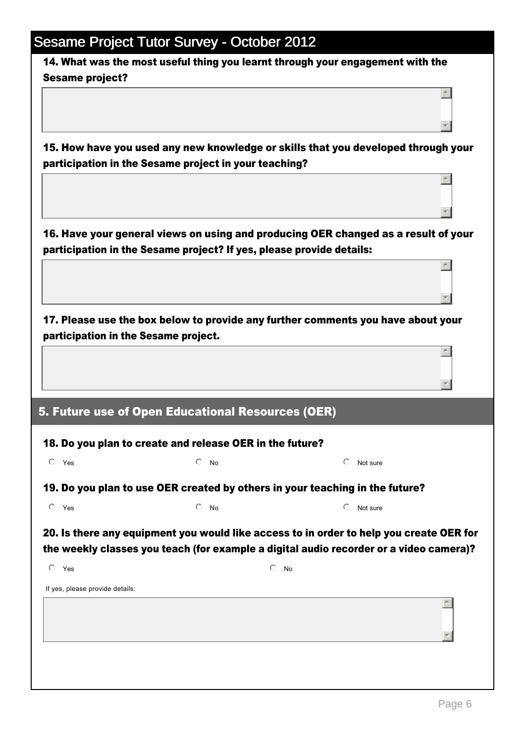|                                      | <b>Sesame Project Tutor Survey - October 2012</b>                    |                                                                                                     |  |
|--------------------------------------|----------------------------------------------------------------------|-----------------------------------------------------------------------------------------------------|--|
| <b>Sesame project?</b>               |                                                                      | 14. What was the most useful thing you learnt through your engagement with the                      |  |
|                                      |                                                                      |                                                                                                     |  |
|                                      |                                                                      |                                                                                                     |  |
|                                      | participation in the Sesame project in your teaching?                | 15. How have you used any new knowledge or skills that you developed through your                   |  |
|                                      |                                                                      |                                                                                                     |  |
|                                      |                                                                      |                                                                                                     |  |
|                                      | participation in the Sesame project? If yes, please provide details: | 16. Have your general views on using and producing OER changed as a result of your                  |  |
|                                      |                                                                      |                                                                                                     |  |
|                                      |                                                                      |                                                                                                     |  |
|                                      |                                                                      | 17. Please use the box below to provide any further comments you have about your                    |  |
| participation in the Sesame project. |                                                                      |                                                                                                     |  |
|                                      |                                                                      |                                                                                                     |  |
|                                      |                                                                      |                                                                                                     |  |
|                                      |                                                                      |                                                                                                     |  |
|                                      | 5. Future use of Open Educational Resources (OER)                    |                                                                                                     |  |
|                                      | 18. Do you plan to create and release OER in the future?             |                                                                                                     |  |
| $O$ Yes                              | $\bigcirc$<br>No                                                     | ⊙<br>Not sure                                                                                       |  |
|                                      |                                                                      | 19. Do you plan to use OER created by others in your teaching in the future?                        |  |
| $\circ$ Yes                          | ⊙<br><b>No</b>                                                       | ⊙<br>Not sure                                                                                       |  |
|                                      |                                                                      | 20. Is there any equipment you would like access to in order to help you create OER for             |  |
| $\circ$ Yes                          | $\circ$                                                              | the weekly classes you teach (for example a digital audio recorder or a video camera)?<br><b>No</b> |  |
| If yes, please provide details:      |                                                                      |                                                                                                     |  |
|                                      |                                                                      |                                                                                                     |  |